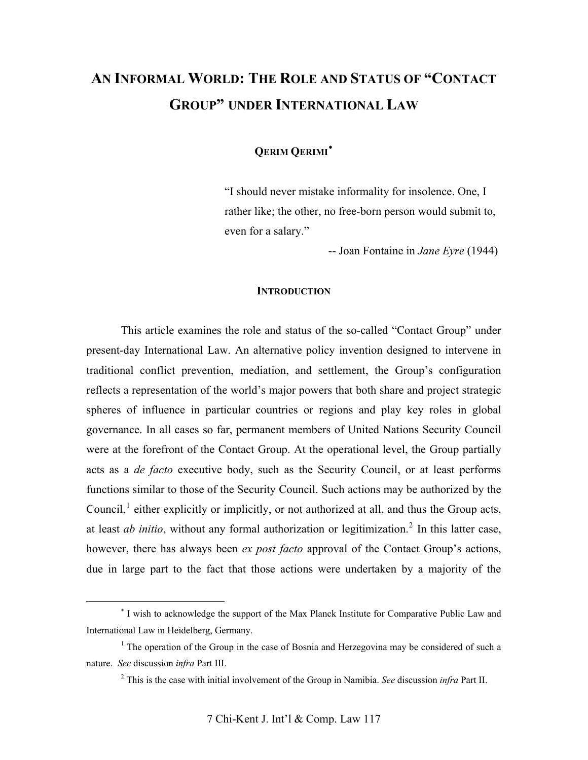# **AN INFORMAL WORLD: THE ROLE AND STATUS OF "CONTACT GROUP" UNDER INTERNATIONAL LAW**

**QERIM QERIMI**

"I should never mistake informality for insolence. One, I rather like; the other, no free-born person would submit to, even for a salary."

-- Joan Fontaine in *Jane Eyre* (1944)

## **INTRODUCTION**

This article examines the role and status of the so-called "Contact Group" under present-day International Law. An alternative policy invention designed to intervene in traditional conflict prevention, mediation, and settlement, the Group's configuration reflects a representation of the world's major powers that both share and project strategic spheres of influence in particular countries or regions and play key roles in global governance. In all cases so far, permanent members of United Nations Security Council were at the forefront of the Contact Group. At the operational level, the Group partially acts as a *de facto* executive body, such as the Security Council, or at least performs functions similar to those of the Security Council. Such actions may be authorized by the Council, $<sup>1</sup>$  $<sup>1</sup>$  $<sup>1</sup>$  either explicitly or implicitly, or not authorized at all, and thus the Group acts,</sup> at least *ab initio*, without any formal authorization or legitimization.<sup>[2](#page-0-2)</sup> In this latter case, however, there has always been *ex post facto* approval of the Contact Group's actions, due in large part to the fact that those actions were undertaken by a majority of the

 $\overline{a}$ 

<span id="page-0-0"></span> I wish to acknowledge the support of the Max Planck Institute for Comparative Public Law and International Law in Heidelberg, Germany.

<span id="page-0-2"></span><span id="page-0-1"></span><sup>&</sup>lt;sup>1</sup> The operation of the Group in the case of Bosnia and Herzegovina may be considered of such a nature. *See* discussion *infra* Part III.

<sup>2</sup> This is the case with initial involvement of the Group in Namibia. *See* discussion *infra* Part II.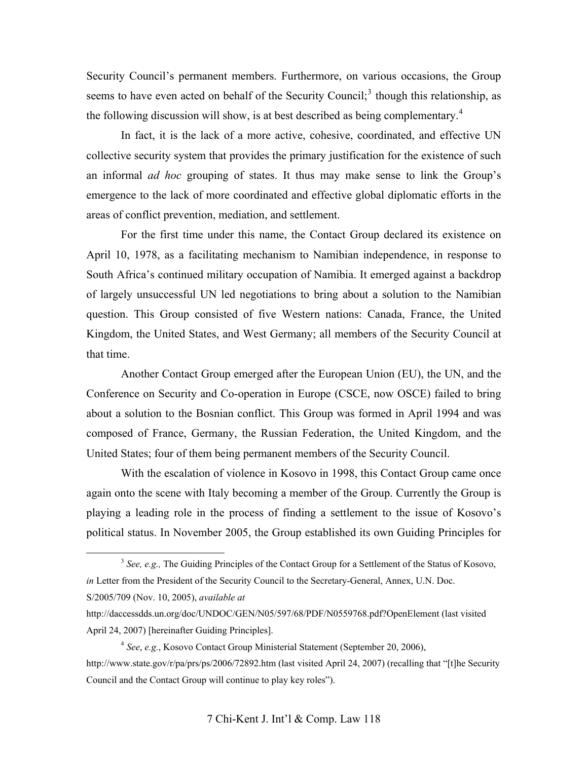Security Council's permanent members. Furthermore, on various occasions, the Group seems to have even acted on behalf of the Security Council;<sup>[3](#page-1-0)</sup> though this relationship, as the following discussion will show, is at best described as being complementary.<sup>[4](#page-1-1)</sup>

In fact, it is the lack of a more active, cohesive, coordinated, and effective UN collective security system that provides the primary justification for the existence of such an informal *ad hoc* grouping of states. It thus may make sense to link the Group's emergence to the lack of more coordinated and effective global diplomatic efforts in the areas of conflict prevention, mediation, and settlement.

For the first time under this name, the Contact Group declared its existence on April 10, 1978, as a facilitating mechanism to Namibian independence, in response to South Africa's continued military occupation of Namibia. It emerged against a backdrop of largely unsuccessful UN led negotiations to bring about a solution to the Namibian question. This Group consisted of five Western nations: Canada, France, the United Kingdom, the United States, and West Germany; all members of the Security Council at that time.

Another Contact Group emerged after the European Union (EU), the UN, and the Conference on Security and Co-operation in Europe (CSCE, now OSCE) failed to bring about a solution to the Bosnian conflict. This Group was formed in April 1994 and was composed of France, Germany, the Russian Federation, the United Kingdom, and the United States; four of them being permanent members of the Security Council.

With the escalation of violence in Kosovo in 1998, this Contact Group came once again onto the scene with Italy becoming a member of the Group. Currently the Group is playing a leading role in the process of finding a settlement to the issue of Kosovo's political status. In November 2005, the Group established its own Guiding Principles for

<span id="page-1-0"></span><sup>&</sup>lt;sup>3</sup> See, e.g., The Guiding Principles of the Contact Group for a Settlement of the Status of Kosovo, *in* Letter from the President of the Security Council to the Secretary-General, Annex, U.N. Doc. S/2005/709 (Nov. 10, 2005), *available at*

http://daccessdds.un.org/doc/UNDOC/GEN/N05/597/68/PDF/N0559768.pdf?OpenElement (last visited April 24, 2007) [hereinafter Guiding Principles].

<span id="page-1-1"></span><sup>4</sup> *See*, *e.g.*, Kosovo Contact Group Ministerial Statement (September 20, 2006), <http://www.state.gov/r/pa/prs/ps/2006/72892.htm>(last visited April 24, 2007) (recalling that "[t]he Security Council and the Contact Group will continue to play key roles").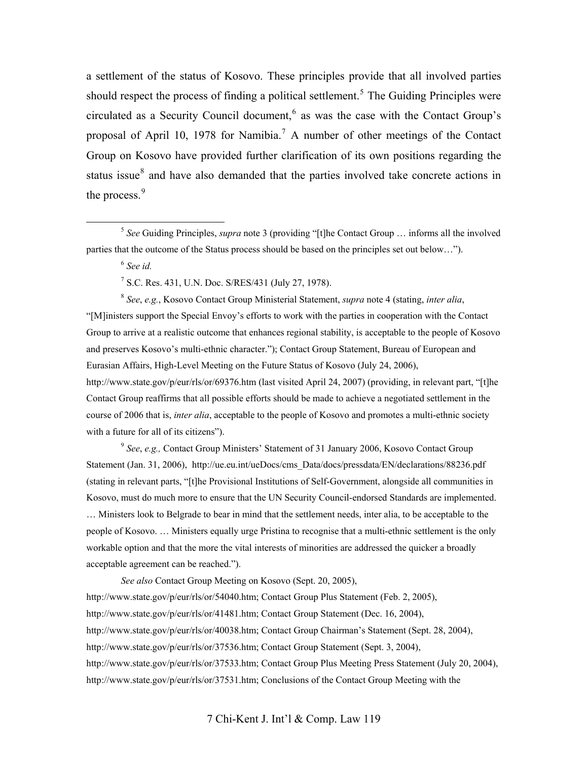a settlement of the status of Kosovo. These principles provide that all involved parties should respect the process of finding a political settlement.<sup>[5](#page-2-0)</sup> The Guiding Principles were circulated as a Security Council document,  $6$  as was the case with the Contact Group's proposal of April 10, 19[7](#page-2-2)8 for Namibia.<sup>7</sup> A number of other meetings of the Contact Group on Kosovo have provided further clarification of its own positions regarding the status issue<sup>[8](#page-2-3)</sup> and have also demanded that the parties involved take concrete actions in the process. $9$ 

<sup>6</sup> *See id.*

7 S.C. Res. 431, U.N. Doc. S/RES/431 (July 27, 1978).

<span id="page-2-3"></span><span id="page-2-2"></span><span id="page-2-1"></span><sup>8</sup> *See*, *e.g.*, Kosovo Contact Group Ministerial Statement, *supra* note 4 (stating, *inter alia*, "[M]inisters support the Special Envoy's efforts to work with the parties in cooperation with the Contact Group to arrive at a realistic outcome that enhances regional stability, is acceptable to the people of Kosovo and preserves Kosovo's multi-ethnic character."); Contact Group Statement, Bureau of European and Eurasian Affairs, High-Level Meeting on the Future Status of Kosovo (July 24, 2006), <http://www.state.gov/p/eur/rls/or/69376.htm>(last visited April 24, 2007) (providing, in relevant part, "[t]he Contact Group reaffirms that all possible efforts should be made to achieve a negotiated settlement in the course of 2006 that is, *inter alia*, acceptable to the people of Kosovo and promotes a multi-ethnic society with a future for all of its citizens").

<span id="page-2-4"></span><sup>9</sup> *See*, *e.g.,* Contact Group Ministers' Statement of 31 January 2006, Kosovo Contact Group Statement (Jan. 31, 2006), http://ue.eu.int/ueDocs/cms\_Data/docs/pressdata/EN/declarations/88236.pdf (stating in relevant parts, "[t]he Provisional Institutions of Self-Government, alongside all communities in Kosovo, must do much more to ensure that the UN Security Council-endorsed Standards are implemented. … Ministers look to Belgrade to bear in mind that the settlement needs, inter alia, to be acceptable to the people of Kosovo. … Ministers equally urge Pristina to recognise that a multi-ethnic settlement is the only workable option and that the more the vital interests of minorities are addressed the quicker a broadly acceptable agreement can be reached.").

*See also* Contact Group Meeting on Kosovo (Sept. 20, 2005), [http://www.state.gov/p/eur/rls/or/54040.htm;](http://www.state.gov/p/eur/rls/or/54040.htm) Contact Group Plus Statement (Feb. 2, 2005), [http://www.state.gov/p/eur/rls/or/41481.htm;](http://www.state.gov/p/eur/rls/or/41481.htm) Contact Group Statement (Dec. 16, 2004), [http://www.state.gov/p/eur/rls/or/40038.htm;](http://www.state.gov/p/eur/rls/or/40038.htm) Contact Group Chairman's Statement (Sept. 28, 2004), [http://www.state.gov/p/eur/rls/or/37536.htm;](http://www.state.gov/p/eur/rls/or/37536.htm) Contact Group Statement (Sept. 3, 2004), [http://www.state.gov/p/eur/rls/or/37533.htm;](http://www.state.gov/p/eur/rls/or/37533.htm) Contact Group Plus Meeting Press Statement (July 20, 2004), [http://www.state.gov/p/eur/rls/or/37531.htm;](http://www.state.gov/p/eur/rls/or/37531.htm) Conclusions of the Contact Group Meeting with the

<span id="page-2-0"></span> <sup>5</sup> *See* Guiding Principles, *supra* note 3 (providing "[t]he Contact Group … informs all the involved parties that the outcome of the Status process should be based on the principles set out below…").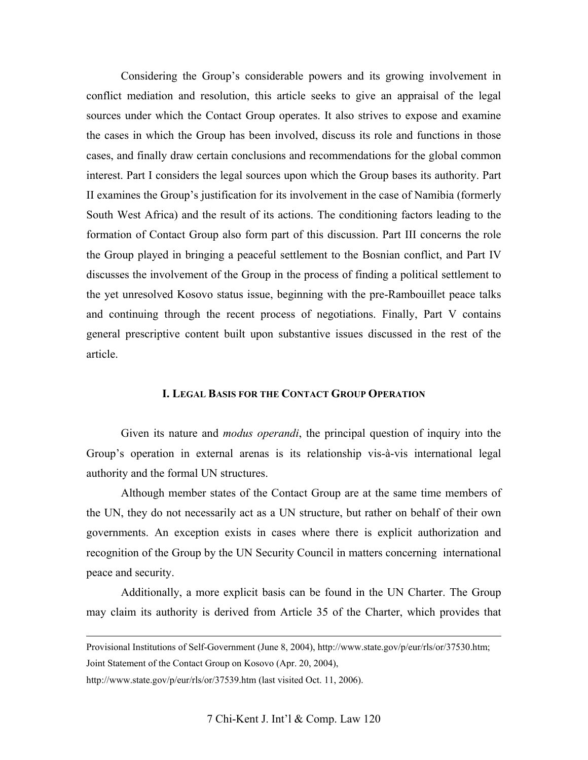Considering the Group's considerable powers and its growing involvement in conflict mediation and resolution, this article seeks to give an appraisal of the legal sources under which the Contact Group operates. It also strives to expose and examine the cases in which the Group has been involved, discuss its role and functions in those cases, and finally draw certain conclusions and recommendations for the global common interest. Part I considers the legal sources upon which the Group bases its authority. Part II examines the Group's justification for its involvement in the case of Namibia (formerly South West Africa) and the result of its actions. The conditioning factors leading to the formation of Contact Group also form part of this discussion. Part III concerns the role the Group played in bringing a peaceful settlement to the Bosnian conflict, and Part IV discusses the involvement of the Group in the process of finding a political settlement to the yet unresolved Kosovo status issue, beginning with the pre-Rambouillet peace talks and continuing through the recent process of negotiations. Finally, Part V contains general prescriptive content built upon substantive issues discussed in the rest of the article.

#### **I. LEGAL BASIS FOR THE CONTACT GROUP OPERATION**

Given its nature and *modus operandi*, the principal question of inquiry into the Group's operation in external arenas is its relationship vis-à-vis international legal authority and the formal UN structures.

Although member states of the Contact Group are at the same time members of the UN, they do not necessarily act as a UN structure, but rather on behalf of their own governments. An exception exists in cases where there is explicit authorization and recognition of the Group by the UN Security Council in matters concerning international peace and security.

Additionally, a more explicit basis can be found in the UN Charter. The Group may claim its authority is derived from Article 35 of the Charter, which provides that

Joint Statement of the Contact Group on Kosovo (Apr. 20, 2004),

<http://www.state.gov/p/eur/rls/or/37539.htm>(last visited Oct. 11, 2006).

Provisional Institutions of Self-Government (June 8, 2004), [http://www.state.gov/p/eur/rls/or/37530.htm;](http://www.state.gov/p/eur/rls/or/37530.htm)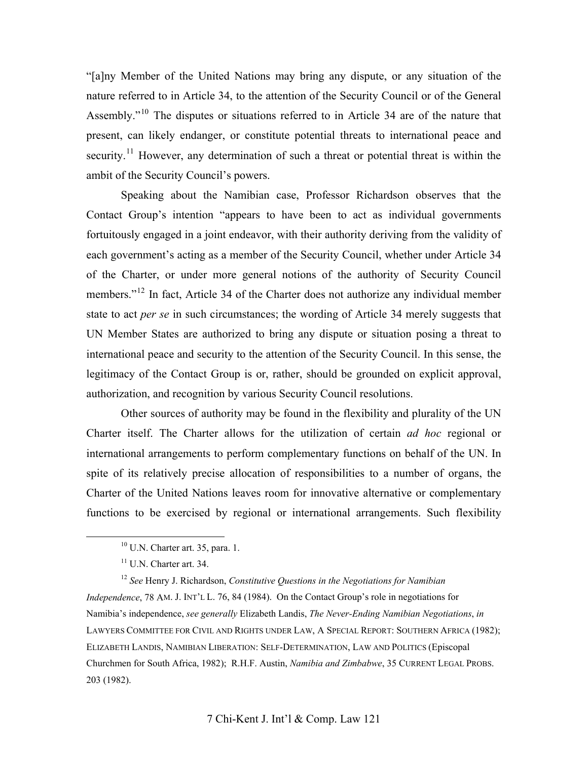"[a]ny Member of the United Nations may bring any dispute, or any situation of the nature referred to in Article 34, to the attention of the Security Council or of the General Assembly."[10](#page-4-0) The disputes or situations referred to in Article 34 are of the nature that present, can likely endanger, or constitute potential threats to international peace and security.<sup>[11](#page-4-1)</sup> However, any determination of such a threat or potential threat is within the ambit of the Security Council's powers.

Speaking about the Namibian case, Professor Richardson observes that the Contact Group's intention "appears to have been to act as individual governments fortuitously engaged in a joint endeavor, with their authority deriving from the validity of each government's acting as a member of the Security Council, whether under Article 34 of the Charter, or under more general notions of the authority of Security Council members."<sup>[12](#page-4-2)</sup> In fact, Article 34 of the Charter does not authorize any individual member state to act *per se* in such circumstances; the wording of Article 34 merely suggests that UN Member States are authorized to bring any dispute or situation posing a threat to international peace and security to the attention of the Security Council. In this sense, the legitimacy of the Contact Group is or, rather, should be grounded on explicit approval, authorization, and recognition by various Security Council resolutions.

Other sources of authority may be found in the flexibility and plurality of the UN Charter itself. The Charter allows for the utilization of certain *ad hoc* regional or international arrangements to perform complementary functions on behalf of the UN. In spite of its relatively precise allocation of responsibilities to a number of organs, the Charter of the United Nations leaves room for innovative alternative or complementary functions to be exercised by regional or international arrangements. Such flexibility

 <sup>10</sup> U.N. Charter art. 35, para. 1.

<sup>&</sup>lt;sup>11</sup> U.N. Charter art. 34.

<span id="page-4-2"></span><span id="page-4-1"></span><span id="page-4-0"></span><sup>12</sup> *See* Henry J. Richardson, *Constitutive Questions in the Negotiations for Namibian Independence*, 78 AM. J. INT'L L. 76, 84 (1984). On the Contact Group's role in negotiations for Namibia's independence, *see generally* Elizabeth Landis, *The Never-Ending Namibian Negotiations*, *in* LAWYERS COMMITTEE FOR CIVIL AND RIGHTS UNDER LAW, A SPECIAL REPORT: SOUTHERN AFRICA (1982); ELIZABETH LANDIS, NAMIBIAN LIBERATION: SELF-DETERMINATION, LAW AND POLITICS (Episcopal Churchmen for South Africa, 1982); R.H.F. Austin, *Namibia and Zimbabwe*, 35 CURRENT LEGAL PROBS. 203 (1982).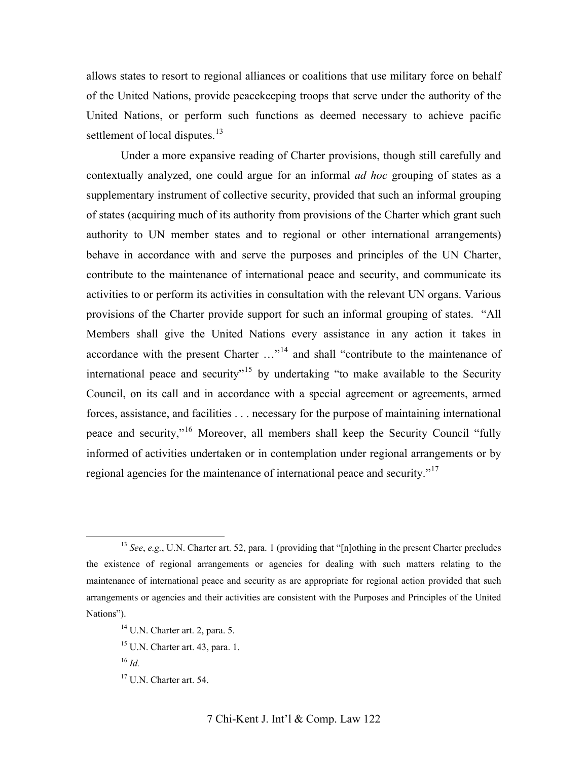allows states to resort to regional alliances or coalitions that use military force on behalf of the United Nations, provide peacekeeping troops that serve under the authority of the United Nations, or perform such functions as deemed necessary to achieve pacific settlement of local disputes.<sup>[13](#page-5-0)</sup>

Under a more expansive reading of Charter provisions, though still carefully and contextually analyzed, one could argue for an informal *ad hoc* grouping of states as a supplementary instrument of collective security, provided that such an informal grouping of states (acquiring much of its authority from provisions of the Charter which grant such authority to UN member states and to regional or other international arrangements) behave in accordance with and serve the purposes and principles of the UN Charter, contribute to the maintenance of international peace and security, and communicate its activities to or perform its activities in consultation with the relevant UN organs. Various provisions of the Charter provide support for such an informal grouping of states. "All Members shall give the United Nations every assistance in any action it takes in accordance with the present Charter  $\dots^{14}$  $\dots^{14}$  $\dots^{14}$  and shall "contribute to the maintenance of international peace and security"<sup>[15](#page-5-2)</sup> by undertaking "to make available to the Security Council, on its call and in accordance with a special agreement or agreements, armed forces, assistance, and facilities . . . necessary for the purpose of maintaining international peace and security,"[16](#page-5-3) Moreover, all members shall keep the Security Council "fully informed of activities undertaken or in contemplation under regional arrangements or by regional agencies for the maintenance of international peace and security."[17](#page-5-4)

<span id="page-5-1"></span><span id="page-5-0"></span> <sup>13</sup> *See*, *e.g.*, U.N. Charter art. 52, para. 1 (providing that "[n]othing in the present Charter precludes the existence of regional arrangements or agencies for dealing with such matters relating to the maintenance of international peace and security as are appropriate for regional action provided that such arrangements or agencies and their activities are consistent with the Purposes and Principles of the United Nations").

<span id="page-5-4"></span><span id="page-5-3"></span><span id="page-5-2"></span><sup>14</sup> U.N. Charter art. 2, para. 5.  $15$  U.N. Charter art. 43, para. 1. <sup>16</sup> *Id.* 17 U.N. Charter art. 54.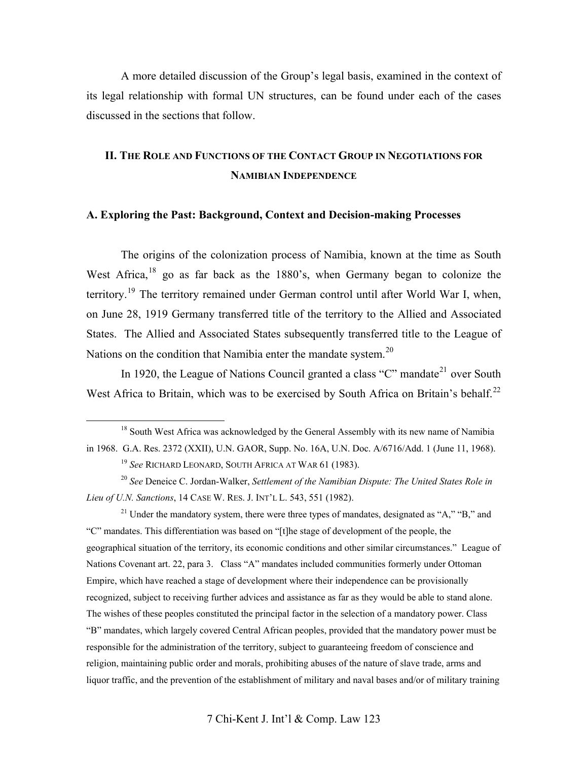A more detailed discussion of the Group's legal basis, examined in the context of its legal relationship with formal UN structures, can be found under each of the cases discussed in the sections that follow.

# **II. THE ROLE AND FUNCTIONS OF THE CONTACT GROUP IN NEGOTIATIONS FOR NAMIBIAN INDEPENDENCE**

#### **A. Exploring the Past: Background, Context and Decision-making Processes**

The origins of the colonization process of Namibia, known at the time as South West Africa, $18$  go as far back as the 1880's, when Germany began to colonize the territory.<sup>[19](#page-6-1)</sup> The territory remained under German control until after World War I, when, on June 28, 1919 Germany transferred title of the territory to the Allied and Associated States. The Allied and Associated States subsequently transferred title to the League of Nations on the condition that Namibia enter the mandate system.<sup>[20](#page-6-2)</sup>

In 1920, the League of Nations Council granted a class "C" mandate<sup>[21](#page-6-3)</sup> over South West Africa to Britain, which was to be exercised by South Africa on Britain's behalf.<sup>[22](#page-6-4)</sup>

<span id="page-6-4"></span><span id="page-6-3"></span><sup>21</sup> Under the mandatory system, there were three types of mandates, designated as "A," "B," and "C" mandates. This differentiation was based on "[t]he stage of development of the people, the geographical situation of the territory, its economic conditions and other similar circumstances." League of Nations Covenant art. 22, para 3. Class "A" mandates included communities formerly under Ottoman Empire, which have reached a stage of development where their independence can be provisionally recognized, subject to receiving further advices and assistance as far as they would be able to stand alone. The wishes of these peoples constituted the principal factor in the selection of a mandatory power. Class "B" mandates, which largely covered Central African peoples, provided that the mandatory power must be responsible for the administration of the territory, subject to guaranteeing freedom of conscience and religion, maintaining public order and morals, prohibiting abuses of the nature of slave trade, arms and liquor traffic, and the prevention of the establishment of military and naval bases and/or of military training

<span id="page-6-0"></span><sup>&</sup>lt;sup>18</sup> South West Africa was acknowledged by the General Assembly with its new name of Namibia in 1968. G.A. Res. 2372 (XXII), U.N. GAOR, Supp. No. 16A, U.N. Doc. A/6716/Add. 1 (June 11, 1968).

<sup>19</sup> *See* RICHARD LEONARD, SOUTH AFRICA AT WAR 61 (1983).

<span id="page-6-2"></span><span id="page-6-1"></span><sup>20</sup> *See* Deneice C. Jordan-Walker, *Settlement of the Namibian Dispute: The United States Role in Lieu of U.N. Sanctions*, 14 CASE W. RES. J. INT'L L. 543, 551 (1982).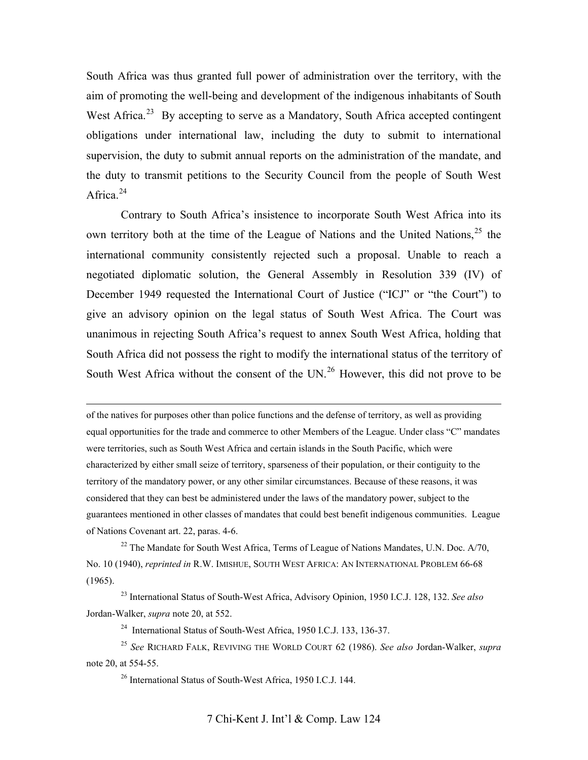South Africa was thus granted full power of administration over the territory, with the aim of promoting the well-being and development of the indigenous inhabitants of South West Africa.<sup>[23](#page-7-0)</sup> By accepting to serve as a Mandatory, South Africa accepted contingent obligations under international law, including the duty to submit to international supervision, the duty to submit annual reports on the administration of the mandate, and the duty to transmit petitions to the Security Council from the people of South West Africa.<sup>[24](#page-7-1)</sup>

Contrary to South Africa's insistence to incorporate South West Africa into its own territory both at the time of the League of Nations and the United Nations,<sup>[25](#page-7-2)</sup> the international community consistently rejected such a proposal. Unable to reach a negotiated diplomatic solution, the General Assembly in Resolution 339 (IV) of December 1949 requested the International Court of Justice ("ICJ" or "the Court") to give an advisory opinion on the legal status of South West Africa. The Court was unanimous in rejecting South Africa's request to annex South West Africa, holding that South Africa did not possess the right to modify the international status of the territory of South West Africa without the consent of the UN.<sup>[26](#page-7-3)</sup> However, this did not prove to be

 of the natives for purposes other than police functions and the defense of territory, as well as providing equal opportunities for the trade and commerce to other Members of the League. Under class "C" mandates were territories, such as South West Africa and certain islands in the South Pacific, which were characterized by either small seize of territory, sparseness of their population, or their contiguity to the territory of the mandatory power, or any other similar circumstances. Because of these reasons, it was considered that they can best be administered under the laws of the mandatory power, subject to the guarantees mentioned in other classes of mandates that could best benefit indigenous communities. League of Nations Covenant art. 22, paras. 4-6.

 $^{22}$  The Mandate for South West Africa, Terms of League of Nations Mandates, U.N. Doc.  $A/70$ . No. 10 (1940), *reprinted in* R.W. IMISHUE, SOUTH WEST AFRICA: AN INTERNATIONAL PROBLEM 66-68 (1965).

<span id="page-7-0"></span>23 International Status of South-West Africa, Advisory Opinion, 1950 I.C.J. 128, 132. *See also*  Jordan-Walker, *supra* note 20, at 552.

<sup>24</sup> International Status of South-West Africa, 1950 I.C.J. 133, 136-37.

<span id="page-7-3"></span><span id="page-7-2"></span><span id="page-7-1"></span><sup>25</sup> *See* RICHARD FALK, REVIVING THE WORLD COURT 62 (1986). *See also* Jordan-Walker, *supra* note 20, at 554-55.

26 International Status of South-West Africa, 1950 I.C.J. 144.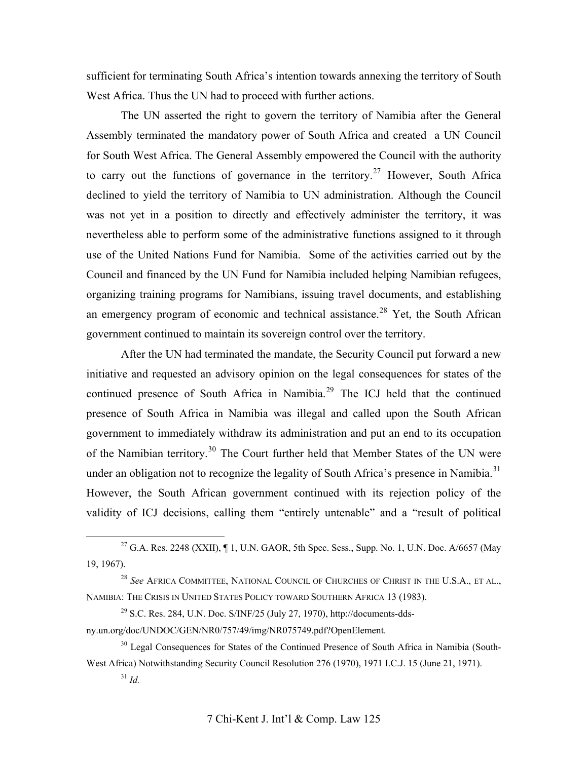sufficient for terminating South Africa's intention towards annexing the territory of South West Africa. Thus the UN had to proceed with further actions.

The UN asserted the right to govern the territory of Namibia after the General Assembly terminated the mandatory power of South Africa and created a UN Council for South West Africa. The General Assembly empowered the Council with the authority to carry out the functions of governance in the territory.<sup>[27](#page-8-0)</sup> However, South Africa declined to yield the territory of Namibia to UN administration. Although the Council was not yet in a position to directly and effectively administer the territory, it was nevertheless able to perform some of the administrative functions assigned to it through use of the United Nations Fund for Namibia. Some of the activities carried out by the Council and financed by the UN Fund for Namibia included helping Namibian refugees, organizing training programs for Namibians, issuing travel documents, and establishing an emergency program of economic and technical assistance.<sup>28</sup> Yet, the South African government continued to maintain its sovereign control over the territory.

After the UN had terminated the mandate, the Security Council put forward a new initiative and requested an advisory opinion on the legal consequences for states of the continued presence of South Africa in Namibia.<sup>[29](#page-8-2)</sup> The ICJ held that the continued presence of South Africa in Namibia was illegal and called upon the South African government to immediately withdraw its administration and put an end to its occupation of the Namibian territory.[30](#page-8-3) The Court further held that Member States of the UN were under an obligation not to recognize the legality of South Africa's presence in Namibia.<sup>[31](#page-8-4)</sup> However, the South African government continued with its rejection policy of the validity of ICJ decisions, calling them "entirely untenable" and a "result of political

<span id="page-8-0"></span><sup>&</sup>lt;sup>27</sup> G.A. Res. 2248 (XXII),  $\P$  1, U.N. GAOR, 5th Spec. Sess., Supp. No. 1, U.N. Doc. A/6657 (May 19, 1967).

<span id="page-8-1"></span><sup>28</sup> *See* AFRICA COMMITTEE, NATIONAL COUNCIL OF CHURCHES OF CHRIST IN THE U.S.A., ET AL., NAMIBIA: THE CRISIS IN UNITED STATES POLICY TOWARD SOUTHERN AFRICA 13 (1983).

<span id="page-8-2"></span> $^{29}$  S.C. Res. 284, U.N. Doc. S/INF/25 (July 27, 1970), http://documents-ddsny.un.org/doc/UNDOC/GEN/NR0/757/49/img/NR075749.pdf?OpenElement.

<span id="page-8-4"></span><span id="page-8-3"></span><sup>&</sup>lt;sup>30</sup> Legal Consequences for States of the Continued Presence of South Africa in Namibia (South-West Africa) Notwithstanding Security Council Resolution 276 (1970), 1971 I.C.J. 15 (June 21, 1971).

<sup>31</sup> *Id.*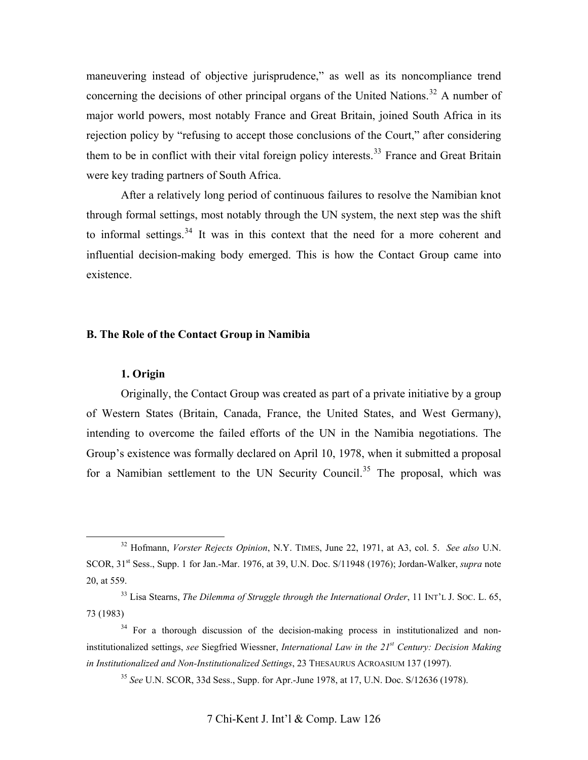maneuvering instead of objective jurisprudence," as well as its noncompliance trend concerning the decisions of other principal organs of the United Nations.<sup>[32](#page-9-0)</sup> A number of major world powers, most notably France and Great Britain, joined South Africa in its rejection policy by "refusing to accept those conclusions of the Court," after considering them to be in conflict with their vital foreign policy interests.<sup>[33](#page-9-1)</sup> France and Great Britain were key trading partners of South Africa.

After a relatively long period of continuous failures to resolve the Namibian knot through formal settings, most notably through the UN system, the next step was the shift to informal settings.<sup>[34](#page-9-2)</sup> It was in this context that the need for a more coherent and influential decision-making body emerged. This is how the Contact Group came into existence.

# **B. The Role of the Contact Group in Namibia**

#### **1. Origin**

Originally, the Contact Group was created as part of a private initiative by a group of Western States (Britain, Canada, France, the United States, and West Germany), intending to overcome the failed efforts of the UN in the Namibia negotiations. The Group's existence was formally declared on April 10, 1978, when it submitted a proposal for a Namibian settlement to the UN Security Council.<sup>[35](#page-9-3)</sup> The proposal, which was

<span id="page-9-0"></span> <sup>32</sup> Hofmann, *Vorster Rejects Opinion*, N.Y. TIMES, June 22, 1971, at A3, col. 5. *See also* U.N. SCOR, 31<sup>st</sup> Sess., Supp. 1 for Jan.-Mar. 1976, at 39, U.N. Doc. S/11948 (1976); Jordan-Walker, *supra* note 20, at 559.

<span id="page-9-1"></span><sup>&</sup>lt;sup>33</sup> Lisa Stearns, *The Dilemma of Struggle through the International Order*, 11 INT'L J. SOC. L. 65, 73 (1983)

<span id="page-9-3"></span><span id="page-9-2"></span><sup>&</sup>lt;sup>34</sup> For a thorough discussion of the decision-making process in institutionalized and noninstitutionalized settings, *see* Siegfried Wiessner, *International Law in the 21st Century: Decision Making in Institutionalized and Non-Institutionalized Settings*, 23 THESAURUS ACROASIUM 137 (1997).

<sup>35</sup> *See* U.N. SCOR, 33d Sess., Supp. for Apr.-June 1978, at 17, U.N. Doc. S/12636 (1978).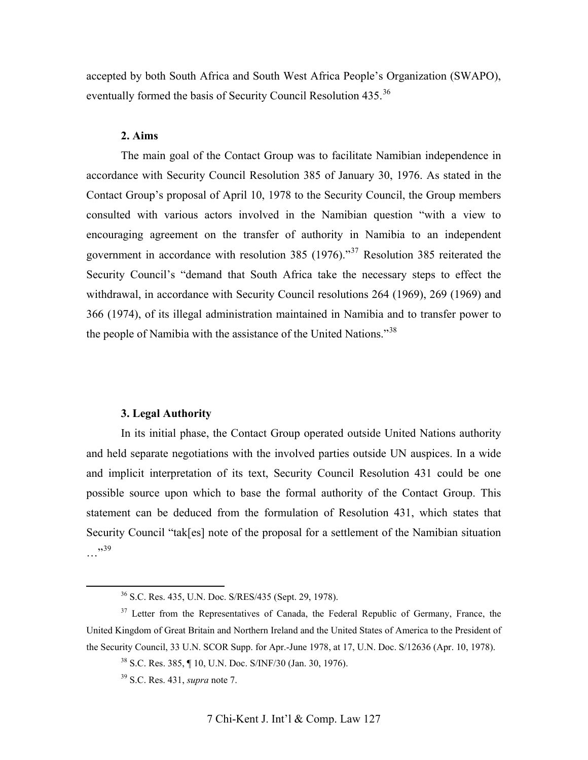accepted by both South Africa and South West Africa People's Organization (SWAPO), eventually formed the basis of Security Council Resolution 435.<sup>[36](#page-10-0)</sup>

#### **2. Aims**

The main goal of the Contact Group was to facilitate Namibian independence in accordance with Security Council Resolution 385 of January 30, 1976. As stated in the Contact Group's proposal of April 10, 1978 to the Security Council, the Group members consulted with various actors involved in the Namibian question "with a view to encouraging agreement on the transfer of authority in Namibia to an independent government in accordance with resolution 385 (1976)."[37](#page-10-1) Resolution 385 reiterated the Security Council's "demand that South Africa take the necessary steps to effect the withdrawal, in accordance with Security Council resolutions 264 (1969), 269 (1969) and 366 (1974), of its illegal administration maintained in Namibia and to transfer power to the people of Namibia with the assistance of the United Nations."<sup>[38](#page-10-2)</sup>

#### **3. Legal Authority**

In its initial phase, the Contact Group operated outside United Nations authority and held separate negotiations with the involved parties outside UN auspices. In a wide and implicit interpretation of its text, Security Council Resolution 431 could be one possible source upon which to base the formal authority of the Contact Group. This statement can be deduced from the formulation of Resolution 431, which states that Security Council "tak[es] note of the proposal for a settlement of the Namibian situation …"[39](#page-10-3)

 <sup>36</sup> S.C. Res. 435, U.N. Doc. S/RES/435 (Sept. 29, 1978).

<span id="page-10-3"></span><span id="page-10-2"></span><span id="page-10-1"></span><span id="page-10-0"></span><sup>&</sup>lt;sup>37</sup> Letter from the Representatives of Canada, the Federal Republic of Germany, France, the United Kingdom of Great Britain and Northern Ireland and the United States of America to the President of the Security Council, 33 U.N. SCOR Supp. for Apr.-June 1978, at 17, U.N. Doc. S/12636 (Apr. 10, 1978).

<sup>38</sup> S.C. Res. 385, ¶ 10, U.N. Doc. S/INF/30 (Jan. 30, 1976).

<sup>39</sup> S.C. Res. 431, *supra* note 7.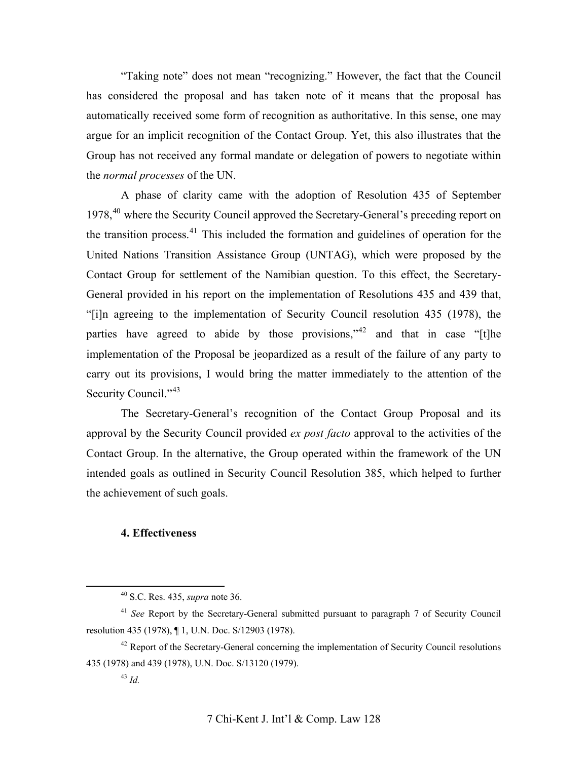"Taking note" does not mean "recognizing." However, the fact that the Council has considered the proposal and has taken note of it means that the proposal has automatically received some form of recognition as authoritative. In this sense, one may argue for an implicit recognition of the Contact Group. Yet, this also illustrates that the Group has not received any formal mandate or delegation of powers to negotiate within the *normal processes* of the UN.

A phase of clarity came with the adoption of Resolution 435 of September 1978,<sup>[40](#page-11-0)</sup> where the Security Council approved the Secretary-General's preceding report on the transition process. $41$  This included the formation and guidelines of operation for the United Nations Transition Assistance Group (UNTAG), which were proposed by the Contact Group for settlement of the Namibian question. To this effect, the Secretary-General provided in his report on the implementation of Resolutions 435 and 439 that, "[i]n agreeing to the implementation of Security Council resolution 435 (1978), the parties have agreed to abide by those provisions,"<sup>[42](#page-11-2)</sup> and that in case "[t]he implementation of the Proposal be jeopardized as a result of the failure of any party to carry out its provisions, I would bring the matter immediately to the attention of the Security Council."<sup>[43](#page-11-3)</sup>

The Secretary-General's recognition of the Contact Group Proposal and its approval by the Security Council provided *ex post facto* approval to the activities of the Contact Group. In the alternative, the Group operated within the framework of the UN intended goals as outlined in Security Council Resolution 385, which helped to further the achievement of such goals.

# **4. Effectiveness**

 <sup>40</sup> S.C. Res. 435, *supra* note 36.

<span id="page-11-1"></span><span id="page-11-0"></span><sup>41</sup> *See* Report by the Secretary-General submitted pursuant to paragraph 7 of Security Council resolution 435 (1978), ¶ 1, U.N. Doc. S/12903 (1978).

<span id="page-11-3"></span><span id="page-11-2"></span><sup>&</sup>lt;sup>42</sup> Report of the Secretary-General concerning the implementation of Security Council resolutions 435 (1978) and 439 (1978), U.N. Doc. S/13120 (1979).

<sup>43</sup> *Id.*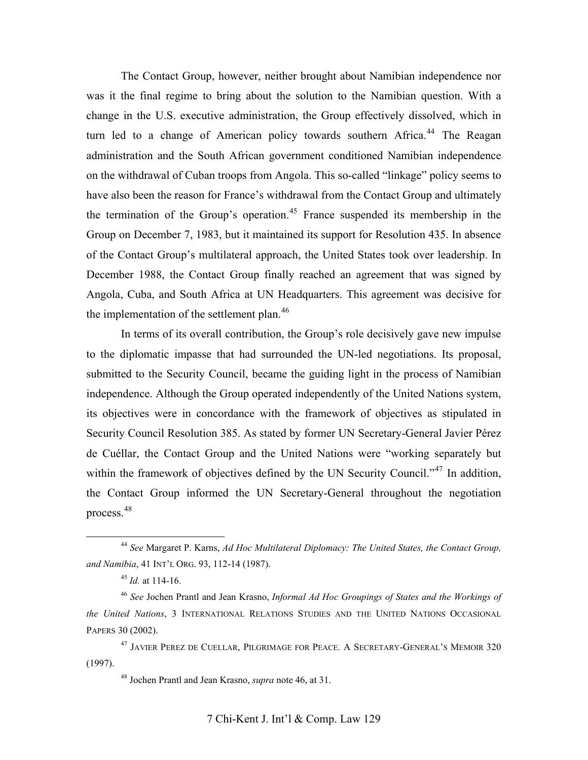The Contact Group, however, neither brought about Namibian independence nor was it the final regime to bring about the solution to the Namibian question. With a change in the U.S. executive administration, the Group effectively dissolved, which in turn led to a change of American policy towards southern Africa.<sup>[44](#page-12-0)</sup> The Reagan administration and the South African government conditioned Namibian independence on the withdrawal of Cuban troops from Angola. This so-called "linkage" policy seems to have also been the reason for France's withdrawal from the Contact Group and ultimately the termination of the Group's operation.<sup>[45](#page-12-1)</sup> France suspended its membership in the Group on December 7, 1983, but it maintained its support for Resolution 435. In absence of the Contact Group's multilateral approach, the United States took over leadership. In December 1988, the Contact Group finally reached an agreement that was signed by Angola, Cuba, and South Africa at UN Headquarters. This agreement was decisive for the implementation of the settlement plan.<sup>[46](#page-12-2)</sup>

In terms of its overall contribution, the Group's role decisively gave new impulse to the diplomatic impasse that had surrounded the UN-led negotiations. Its proposal, submitted to the Security Council, became the guiding light in the process of Namibian independence. Although the Group operated independently of the United Nations system, its objectives were in concordance with the framework of objectives as stipulated in Security Council Resolution 385. As stated by former UN Secretary-General Javier Pérez de Cuéllar, the Contact Group and the United Nations were "working separately but within the framework of objectives defined by the UN Security Council."<sup>[47](#page-12-3)</sup> In addition, the Contact Group informed the UN Secretary-General throughout the negotiation process.[48](#page-12-4)

<span id="page-12-0"></span> <sup>44</sup> *See* Margaret P. Karns, *Ad Hoc Multilateral Diplomacy: The United States, the Contact Group, and Namibia*, 41 INT'L ORG. 93, 112-14 (1987).

<sup>45</sup> *Id.* at 114-16.

<span id="page-12-2"></span><span id="page-12-1"></span><sup>46</sup> *See* Jochen Prantl and Jean Krasno, *Informal Ad Hoc Groupings of States and the Workings of the United Nations*, 3 INTERNATIONAL RELATIONS STUDIES AND THE UNITED NATIONS OCCASIONAL PAPERS 30 (2002).

<span id="page-12-4"></span><span id="page-12-3"></span><sup>47</sup> JAVIER PEREZ DE CUELLAR, PILGRIMAGE FOR PEACE. A SECRETARY-GENERAL'S MEMOIR 320 (1997).

<sup>48</sup> Jochen Prantl and Jean Krasno, *supra* note 46, at 31.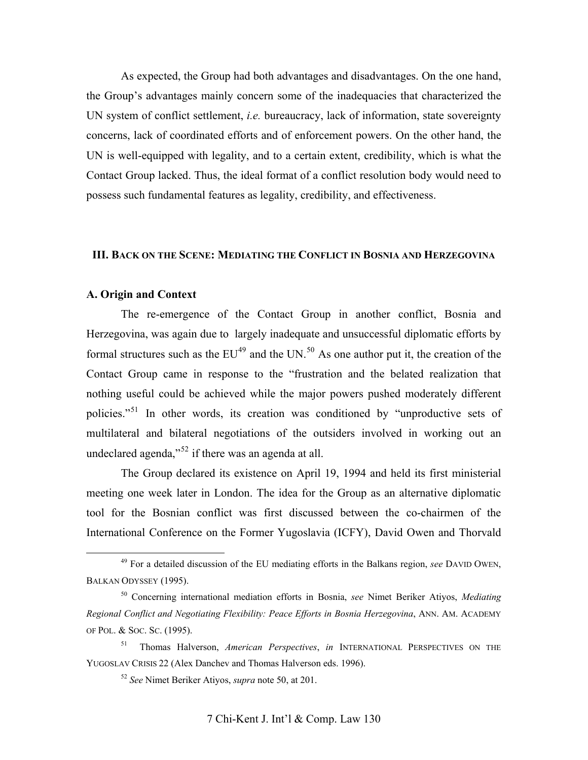As expected, the Group had both advantages and disadvantages. On the one hand, the Group's advantages mainly concern some of the inadequacies that characterized the UN system of conflict settlement, *i.e.* bureaucracy, lack of information, state sovereignty concerns, lack of coordinated efforts and of enforcement powers. On the other hand, the UN is well-equipped with legality, and to a certain extent, credibility, which is what the Contact Group lacked. Thus, the ideal format of a conflict resolution body would need to possess such fundamental features as legality, credibility, and effectiveness.

# **III. BACK ON THE SCENE: MEDIATING THE CONFLICT IN BOSNIA AND HERZEGOVINA**

#### **A. Origin and Context**

 The re-emergence of the Contact Group in another conflict, Bosnia and Herzegovina, was again due to largely inadequate and unsuccessful diplomatic efforts by formal structures such as the  $EU^{49}$  $EU^{49}$  $EU^{49}$  and the UN.<sup>[50](#page-13-1)</sup> As one author put it, the creation of the Contact Group came in response to the "frustration and the belated realization that nothing useful could be achieved while the major powers pushed moderately different policies."[51](#page-13-2) In other words, its creation was conditioned by "unproductive sets of multilateral and bilateral negotiations of the outsiders involved in working out an undeclared agenda," $52$  if there was an agenda at all.

The Group declared its existence on April 19, 1994 and held its first ministerial meeting one week later in London. The idea for the Group as an alternative diplomatic tool for the Bosnian conflict was first discussed between the co-chairmen of the International Conference on the Former Yugoslavia (ICFY), David Owen and Thorvald

<span id="page-13-0"></span> <sup>49</sup> For a detailed discussion of the EU mediating efforts in the Balkans region, *see* DAVID OWEN, BALKAN ODYSSEY (1995).

<span id="page-13-1"></span><sup>50</sup> Concerning international mediation efforts in Bosnia, *see* Nimet Beriker Atiyos, *Mediating Regional Conflict and Negotiating Flexibility: Peace Efforts in Bosnia Herzegovina*, ANN. AM. ACADEMY OF POL. & SOC. SC. (1995).

<span id="page-13-3"></span><span id="page-13-2"></span><sup>51</sup> Thomas Halverson, *American Perspectives*, *in* INTERNATIONAL PERSPECTIVES ON THE YUGOSLAV CRISIS 22 (Alex Danchev and Thomas Halverson eds. 1996).

<sup>52</sup> *See* Nimet Beriker Atiyos, *supra* note 50, at 201.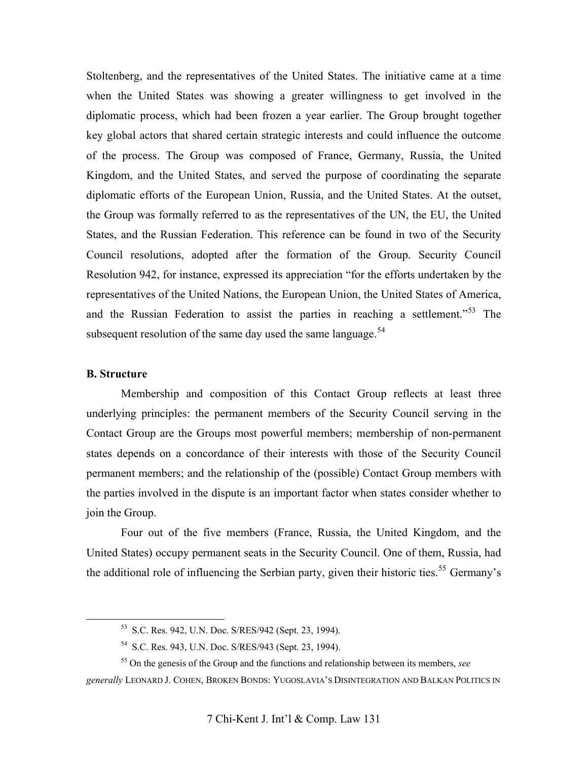Stoltenberg, and the representatives of the United States. The initiative came at a time when the United States was showing a greater willingness to get involved in the diplomatic process, which had been frozen a year earlier. The Group brought together key global actors that shared certain strategic interests and could influence the outcome of the process. The Group was composed of France, Germany, Russia, the United Kingdom, and the United States, and served the purpose of coordinating the separate diplomatic efforts of the European Union, Russia, and the United States. At the outset, the Group was formally referred to as the representatives of the UN, the EU, the United States, and the Russian Federation. This reference can be found in two of the Security Council resolutions, adopted after the formation of the Group. Security Council Resolution 942, for instance, expressed its appreciation "for the efforts undertaken by the representatives of the United Nations, the European Union, the United States of America, and the Russian Federation to assist the parties in reaching a settlement."<sup>[53](#page-14-0)</sup> The subsequent resolution of the same day used the same language.  $54$ 

## **B. Structure**

Membership and composition of this Contact Group reflects at least three underlying principles: the permanent members of the Security Council serving in the Contact Group are the Groups most powerful members; membership of non-permanent states depends on a concordance of their interests with those of the Security Council permanent members; and the relationship of the (possible) Contact Group members with the parties involved in the dispute is an important factor when states consider whether to join the Group.

Four out of the five members (France, Russia, the United Kingdom, and the United States) occupy permanent seats in the Security Council. One of them, Russia, had the additional role of influencing the Serbian party, given their historic ties.<sup>[55](#page-14-2)</sup> Germany's

 <sup>53</sup> S.C. Res. 942, U.N. Doc. S/RES/942 (Sept. 23, 1994).

<sup>54</sup> S.C. Res. 943, U.N. Doc. S/RES/943 (Sept. 23, 1994).

<sup>55</sup> On the genesis of the Group and the functions and relationship between its members, *see* 

<span id="page-14-2"></span><span id="page-14-1"></span><span id="page-14-0"></span>*generally* LEONARD J. COHEN, BROKEN BONDS: YUGOSLAVIA'S DISINTEGRATION AND BALKAN POLITICS IN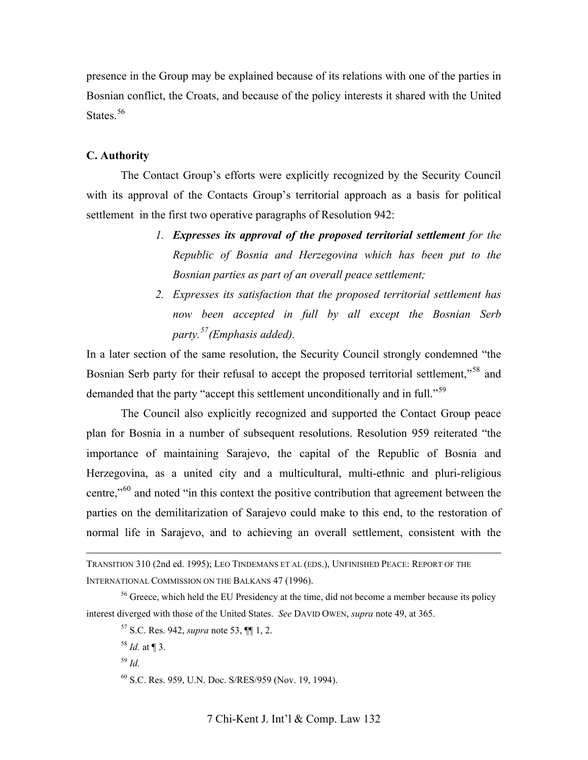presence in the Group may be explained because of its relations with one of the parties in Bosnian conflict, the Croats, and because of the policy interests it shared with the United States.<sup>[56](#page-15-0)</sup>

# **C. Authority**

The Contact Group's efforts were explicitly recognized by the Security Council with its approval of the Contacts Group's territorial approach as a basis for political settlement in the first two operative paragraphs of Resolution 942:

- *1. Expresses its approval of the proposed territorial settlement for the Republic of Bosnia and Herzegovina which has been put to the Bosnian parties as part of an overall peace settlement;*
- *2. Expresses its satisfaction that the proposed territorial settlement has now been accepted in full by all except the Bosnian Serb party.[57](#page-15-1)(Emphasis added).*

In a later section of the same resolution, the Security Council strongly condemned "the Bosnian Serb party for their refusal to accept the proposed territorial settlement,"<sup>[58](#page-15-2)</sup> and demanded that the party "accept this settlement unconditionally and in full."<sup>[59](#page-15-3)</sup>

The Council also explicitly recognized and supported the Contact Group peace plan for Bosnia in a number of subsequent resolutions. Resolution 959 reiterated "the importance of maintaining Sarajevo, the capital of the Republic of Bosnia and Herzegovina, as a united city and a multicultural, multi-ethnic and pluri-religious centre,"[60](#page-15-4) and noted "in this context the positive contribution that agreement between the parties on the demilitarization of Sarajevo could make to this end, to the restoration of normal life in Sarajevo, and to achieving an overall settlement, consistent with the

<sup>59</sup> *Id.*

TRANSITION 310 (2nd ed. 1995); LEO TINDEMANS ET AL (EDS.), UNFINISHED PEACE: REPORT OF THE INTERNATIONAL COMMISSION ON THE BALKANS 47 (1996).

<span id="page-15-4"></span><span id="page-15-3"></span><span id="page-15-2"></span><span id="page-15-1"></span><span id="page-15-0"></span><sup>&</sup>lt;sup>56</sup> Greece, which held the EU Presidency at the time, did not become a member because its policy interest diverged with those of the United States. *See* DAVID OWEN, *supra* note 49, at 365.

<sup>57</sup> S.C. Res. 942, *supra* note 53, ¶¶ 1, 2.

<sup>58</sup> *Id.* at ¶ 3.

<sup>60</sup> S.C. Res. 959, U.N. Doc. S/RES/959 (Nov. 19, 1994).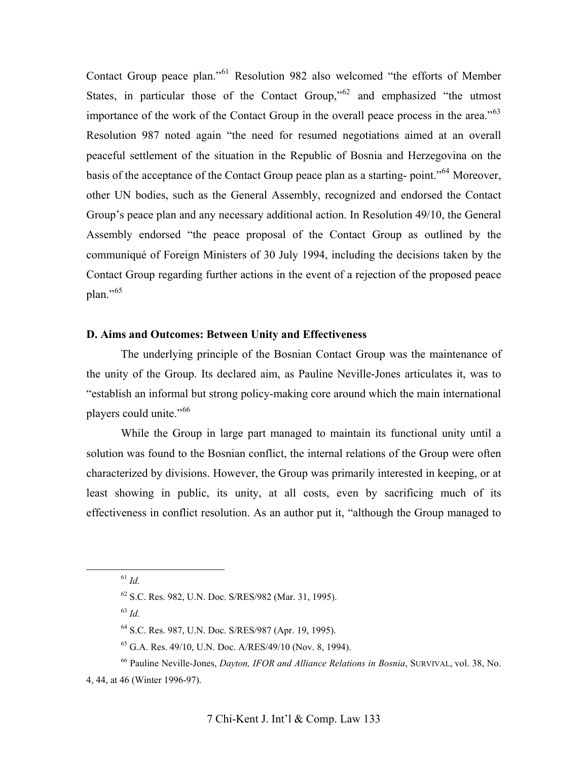Contact Group peace plan."[61](#page-16-0) Resolution 982 also welcomed "the efforts of Member States, in particular those of the Contact Group," $62$  and emphasized "the utmost" importance of the work of the Contact Group in the overall peace process in the area."<sup>[63](#page-16-2)</sup> Resolution 987 noted again "the need for resumed negotiations aimed at an overall peaceful settlement of the situation in the Republic of Bosnia and Herzegovina on the basis of the acceptance of the Contact Group peace plan as a starting- point."[64](#page-16-3) Moreover, other UN bodies, such as the General Assembly, recognized and endorsed the Contact Group's peace plan and any necessary additional action. In Resolution 49/10, the General Assembly endorsed "the peace proposal of the Contact Group as outlined by the communiqué of Foreign Ministers of 30 July 1994, including the decisions taken by the Contact Group regarding further actions in the event of a rejection of the proposed peace  $plan.^{"65}$  $plan.^{"65}$  $plan.^{"65}$ 

# **D. Aims and Outcomes: Between Unity and Effectiveness**

The underlying principle of the Bosnian Contact Group was the maintenance of the unity of the Group. Its declared aim, as Pauline Neville-Jones articulates it, was to "establish an informal but strong policy-making core around which the main international players could unite."<sup>[66](#page-16-5)</sup>

While the Group in large part managed to maintain its functional unity until a solution was found to the Bosnian conflict, the internal relations of the Group were often characterized by divisions. However, the Group was primarily interested in keeping, or at least showing in public, its unity, at all costs, even by sacrificing much of its effectiveness in conflict resolution. As an author put it, "although the Group managed to

<span id="page-16-0"></span>61 *Id.*

<sup>63</sup> *Id.*

<span id="page-16-5"></span><span id="page-16-4"></span><span id="page-16-3"></span><span id="page-16-2"></span><span id="page-16-1"></span>4, 44, at 46 (Winter 1996-97).

<sup>62</sup> S.C. Res. 982, U.N. Doc. S/RES/982 (Mar. 31, 1995).

<sup>64</sup> S.C. Res. 987, U.N. Doc. S/RES/987 (Apr. 19, 1995).

<sup>65</sup> G.A. Res. 49/10, U.N. Doc. A/RES/49/10 (Nov. 8, 1994).

<sup>66</sup> Pauline Neville-Jones, *Dayton, IFOR and Alliance Relations in Bosnia*, SURVIVAL, vol. 38, No.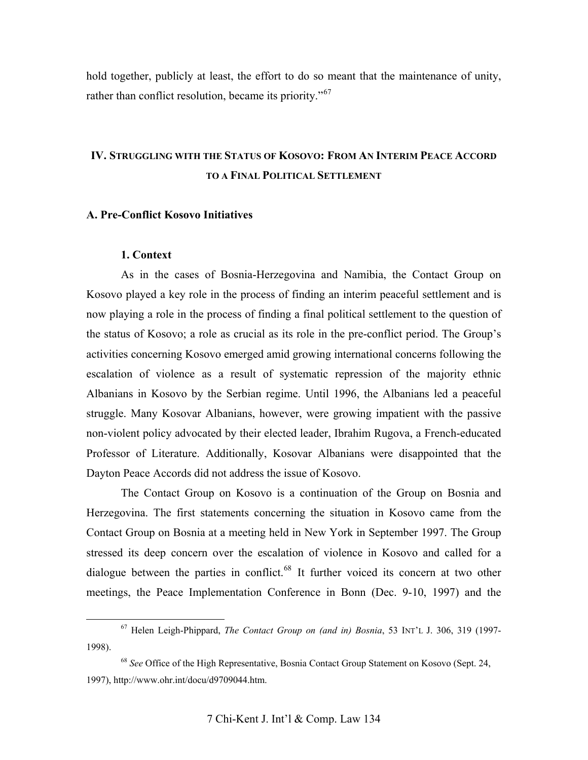hold together, publicly at least, the effort to do so meant that the maintenance of unity, rather than conflict resolution, became its priority."<sup>[67](#page-17-0)</sup>

# **IV. STRUGGLING WITH THE STATUS OF KOSOVO: FROM AN INTERIM PEACE ACCORD TO A FINAL POLITICAL SETTLEMENT**

# **A. Pre-Conflict Kosovo Initiatives**

# **1. Context**

As in the cases of Bosnia-Herzegovina and Namibia, the Contact Group on Kosovo played a key role in the process of finding an interim peaceful settlement and is now playing a role in the process of finding a final political settlement to the question of the status of Kosovo; a role as crucial as its role in the pre-conflict period. The Group's activities concerning Kosovo emerged amid growing international concerns following the escalation of violence as a result of systematic repression of the majority ethnic Albanians in Kosovo by the Serbian regime. Until 1996, the Albanians led a peaceful struggle. Many Kosovar Albanians, however, were growing impatient with the passive non-violent policy advocated by their elected leader, Ibrahim Rugova, a French-educated Professor of Literature. Additionally, Kosovar Albanians were disappointed that the Dayton Peace Accords did not address the issue of Kosovo.

The Contact Group on Kosovo is a continuation of the Group on Bosnia and Herzegovina. The first statements concerning the situation in Kosovo came from the Contact Group on Bosnia at a meeting held in New York in September 1997. The Group stressed its deep concern over the escalation of violence in Kosovo and called for a dialogue between the parties in conflict.<sup>[68](#page-17-1)</sup> It further voiced its concern at two other meetings, the Peace Implementation Conference in Bonn (Dec. 9-10, 1997) and the

<span id="page-17-0"></span> <sup>67</sup> Helen Leigh-Phippard, *The Contact Group on (and in) Bosnia*, 53 INT'L J. 306, 319 (1997- 1998).

<span id="page-17-1"></span><sup>68</sup> *See* Office of the High Representative, Bosnia Contact Group Statement on Kosovo (Sept. 24, 1997), http://www.ohr.int/docu/d9709044.htm.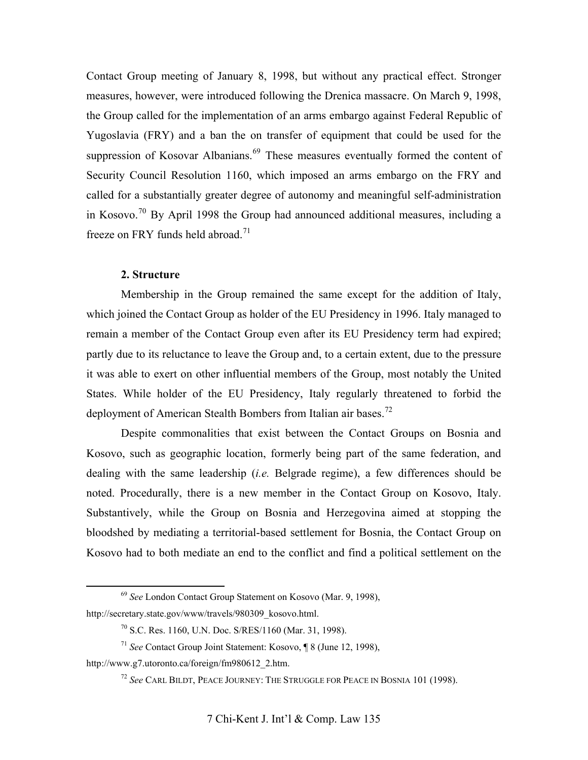Contact Group meeting of January 8, 1998, but without any practical effect. Stronger measures, however, were introduced following the Drenica massacre. On March 9, 1998, the Group called for the implementation of an arms embargo against Federal Republic of Yugoslavia (FRY) and a ban the on transfer of equipment that could be used for the suppression of Kosovar Albanians.<sup>[69](#page-18-0)</sup> These measures eventually formed the content of Security Council Resolution 1160, which imposed an arms embargo on the FRY and called for a substantially greater degree of autonomy and meaningful self-administration in Kosovo.[70](#page-18-1) By April 1998 the Group had announced additional measures, including a freeze on FRY funds held abroad.<sup>[71](#page-18-2)</sup>

#### **2. Structure**

Membership in the Group remained the same except for the addition of Italy, which joined the Contact Group as holder of the EU Presidency in 1996. Italy managed to remain a member of the Contact Group even after its EU Presidency term had expired; partly due to its reluctance to leave the Group and, to a certain extent, due to the pressure it was able to exert on other influential members of the Group, most notably the United States. While holder of the EU Presidency, Italy regularly threatened to forbid the deployment of American Stealth Bombers from Italian air bases.<sup>[72](#page-18-3)</sup>

Despite commonalities that exist between the Contact Groups on Bosnia and Kosovo, such as geographic location, formerly being part of the same federation, and dealing with the same leadership (*i.e.* Belgrade regime), a few differences should be noted. Procedurally, there is a new member in the Contact Group on Kosovo, Italy. Substantively, while the Group on Bosnia and Herzegovina aimed at stopping the bloodshed by mediating a territorial-based settlement for Bosnia, the Contact Group on Kosovo had to both mediate an end to the conflict and find a political settlement on the

 <sup>69</sup> *See* London Contact Group Statement on Kosovo (Mar. 9, 1998),

<span id="page-18-1"></span><span id="page-18-0"></span>http://secretary.state.gov/www/travels/980309\_kosovo.html.

<sup>70</sup> S.C. Res. 1160, U.N. Doc. S/RES/1160 (Mar. 31, 1998).

<sup>71</sup> *See* Contact Group Joint Statement: Kosovo, ¶ 8 (June 12, 1998),

<span id="page-18-3"></span><span id="page-18-2"></span>http://www.g7.utoronto.ca/foreign/fm980612\_2.htm.

<sup>72</sup> *See* CARL BILDT, PEACE JOURNEY: THE STRUGGLE FOR PEACE IN BOSNIA 101 (1998).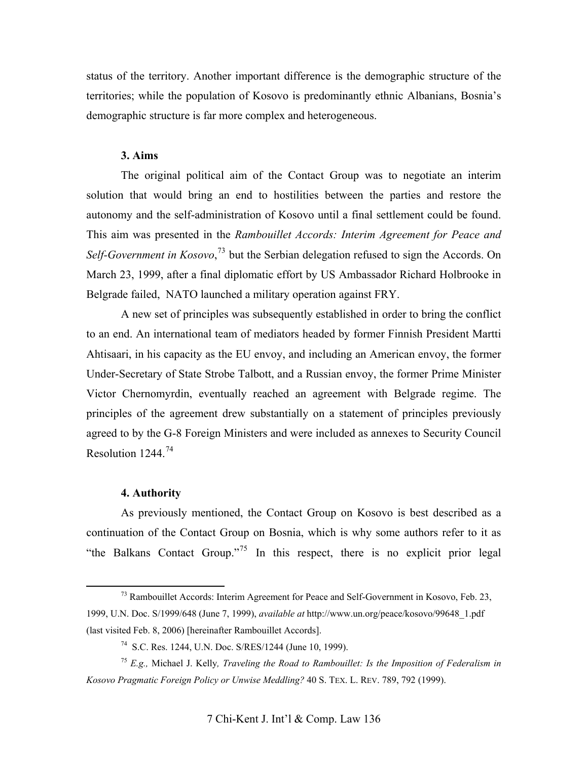status of the territory. Another important difference is the demographic structure of the territories; while the population of Kosovo is predominantly ethnic Albanians, Bosnia's demographic structure is far more complex and heterogeneous.

# **3. Aims**

The original political aim of the Contact Group was to negotiate an interim solution that would bring an end to hostilities between the parties and restore the autonomy and the self-administration of Kosovo until a final settlement could be found. This aim was presented in the *Rambouillet Accords: Interim Agreement for Peace and Self-Government in Kosovo*, [73](#page-19-0) but the Serbian delegation refused to sign the Accords. On March 23, 1999, after a final diplomatic effort by US Ambassador Richard Holbrooke in Belgrade failed, NATO launched a military operation against FRY.

A new set of principles was subsequently established in order to bring the conflict to an end. An international team of mediators headed by former Finnish President Martti Ahtisaari, in his capacity as the EU envoy, and including an American envoy, the former Under-Secretary of State Strobe Talbott, and a Russian envoy, the former Prime Minister Victor Chernomyrdin, eventually reached an agreement with Belgrade regime. The principles of the agreement drew substantially on a statement of principles previously agreed to by the G-8 Foreign Ministers and were included as annexes to Security Council Resolution 1244.[74](#page-19-1)

## **4. Authority**

As previously mentioned, the Contact Group on Kosovo is best described as a continuation of the Contact Group on Bosnia, which is why some authors refer to it as "the Balkans Contact Group."<sup>[75](#page-19-2)</sup> In this respect, there is no explicit prior legal

<span id="page-19-0"></span> $^{73}$  Rambouillet Accords: Interim Agreement for Peace and Self-Government in Kosovo, Feb. 23, 1999, U.N. Doc. S/1999/648 (June 7, 1999), *available at* http://www.un.org/peace/kosovo/99648\_1.pdf (last visited Feb. 8, 2006) [hereinafter Rambouillet Accords].

<sup>74</sup> S.C. Res. 1244, U.N. Doc. S/RES/1244 (June 10, 1999).

<span id="page-19-2"></span><span id="page-19-1"></span><sup>75</sup> *E.g.,* Michael J. Kelly*, Traveling the Road to Rambouillet: Is the Imposition of Federalism in Kosovo Pragmatic Foreign Policy or Unwise Meddling?* 40 S. TEX. L. REV. 789, 792 (1999).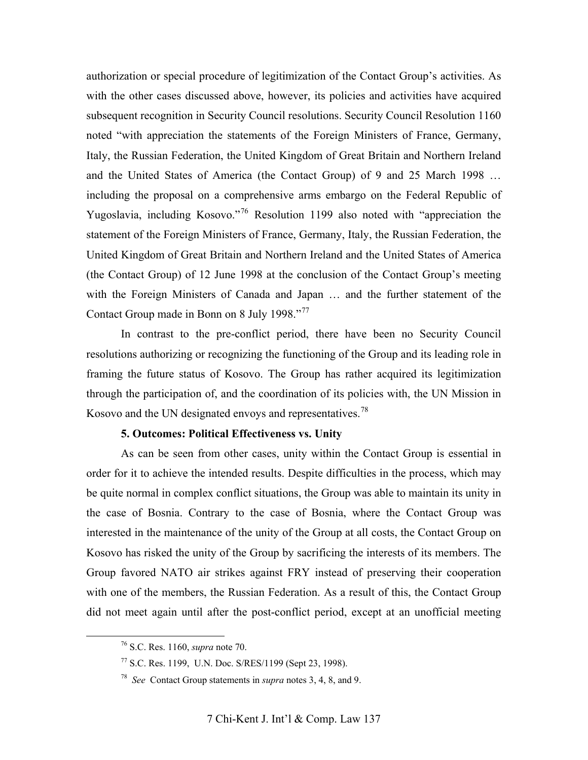authorization or special procedure of legitimization of the Contact Group's activities. As with the other cases discussed above, however, its policies and activities have acquired subsequent recognition in Security Council resolutions. Security Council Resolution 1160 noted "with appreciation the statements of the Foreign Ministers of France, Germany, Italy, the Russian Federation, the United Kingdom of Great Britain and Northern Ireland and the United States of America (the Contact Group) of 9 and 25 March 1998 … including the proposal on a comprehensive arms embargo on the Federal Republic of Yugoslavia, including Kosovo."[76](#page-20-0) Resolution 1199 also noted with "appreciation the statement of the Foreign Ministers of France, Germany, Italy, the Russian Federation, the United Kingdom of Great Britain and Northern Ireland and the United States of America (the Contact Group) of 12 June 1998 at the conclusion of the Contact Group's meeting with the Foreign Ministers of Canada and Japan … and the further statement of the Contact Group made in Bonn on 8 July 1998."<sup>[77](#page-20-1)</sup>

In contrast to the pre-conflict period, there have been no Security Council resolutions authorizing or recognizing the functioning of the Group and its leading role in framing the future status of Kosovo. The Group has rather acquired its legitimization through the participation of, and the coordination of its policies with, the UN Mission in Kosovo and the UN designated envoys and representatives.<sup>[78](#page-20-2)</sup>

# **5. Outcomes: Political Effectiveness vs. Unity**

As can be seen from other cases, unity within the Contact Group is essential in order for it to achieve the intended results. Despite difficulties in the process, which may be quite normal in complex conflict situations, the Group was able to maintain its unity in the case of Bosnia. Contrary to the case of Bosnia, where the Contact Group was interested in the maintenance of the unity of the Group at all costs, the Contact Group on Kosovo has risked the unity of the Group by sacrificing the interests of its members. The Group favored NATO air strikes against FRY instead of preserving their cooperation with one of the members, the Russian Federation. As a result of this, the Contact Group did not meet again until after the post-conflict period, except at an unofficial meeting

<span id="page-20-0"></span> <sup>76</sup> S.C. Res. 1160, *supra* note 70.

<span id="page-20-1"></span><sup>77</sup> S.C. Res. 1199, U.N. Doc. S/RES/1199 (Sept 23, 1998).

<span id="page-20-2"></span><sup>78</sup> *See* Contact Group statements in *supra* notes 3, 4, 8, and 9.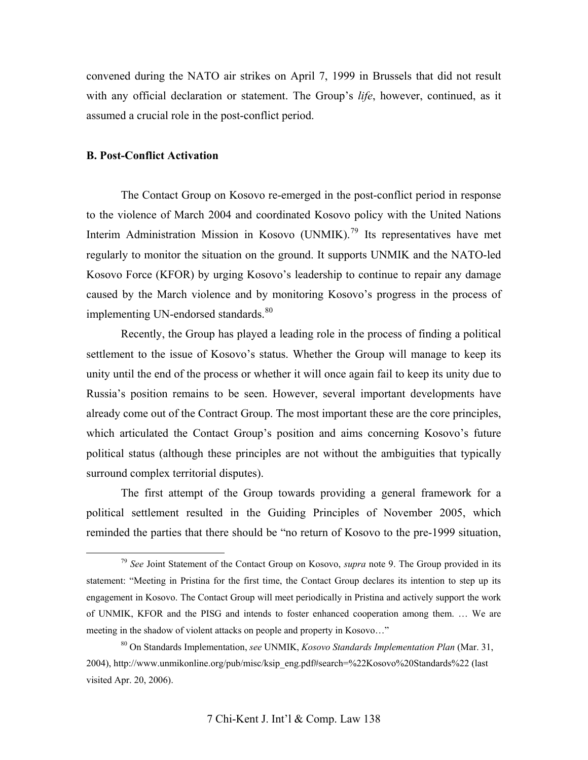convened during the NATO air strikes on April 7, 1999 in Brussels that did not result with any official declaration or statement. The Group's *life*, however, continued, as it assumed a crucial role in the post-conflict period.

# **B. Post-Conflict Activation**

The Contact Group on Kosovo re-emerged in the post-conflict period in response to the violence of March 2004 and coordinated Kosovo policy with the United Nations Interim Administration Mission in Kosovo (UNMIK).<sup>[79](#page-21-0)</sup> Its representatives have met regularly to monitor the situation on the ground. It supports UNMIK and the NATO-led Kosovo Force (KFOR) by urging Kosovo's leadership to continue to repair any damage caused by the March violence and by monitoring Kosovo's progress in the process of implementing UN-endorsed standards.<sup>[80](#page-21-1)</sup>

Recently, the Group has played a leading role in the process of finding a political settlement to the issue of Kosovo's status. Whether the Group will manage to keep its unity until the end of the process or whether it will once again fail to keep its unity due to Russia's position remains to be seen. However, several important developments have already come out of the Contract Group. The most important these are the core principles, which articulated the Contact Group's position and aims concerning Kosovo's future political status (although these principles are not without the ambiguities that typically surround complex territorial disputes).

The first attempt of the Group towards providing a general framework for a political settlement resulted in the Guiding Principles of November 2005, which reminded the parties that there should be "no return of Kosovo to the pre-1999 situation,

<span id="page-21-0"></span> <sup>79</sup> *See* Joint Statement of the Contact Group on Kosovo, *supra* note 9. The Group provided in its statement: "Meeting in Pristina for the first time, the Contact Group declares its intention to step up its engagement in Kosovo. The Contact Group will meet periodically in Pristina and actively support the work of UNMIK, KFOR and the PISG and intends to foster enhanced cooperation among them. … We are meeting in the shadow of violent attacks on people and property in Kosovo..."

<span id="page-21-1"></span><sup>80</sup> On Standards Implementation, *see* UNMIK, *Kosovo Standards Implementation Plan* (Mar. 31, 2004), [http://www.unmikonline.org/pub/misc/ksip\\_eng.pdf#search=%22Kosovo%20Standards%22](http://www.unmikonline.org/pub/misc/ksip_eng.pdf#search=%22Kosovo%20Standards%22) (last visited Apr. 20, 2006).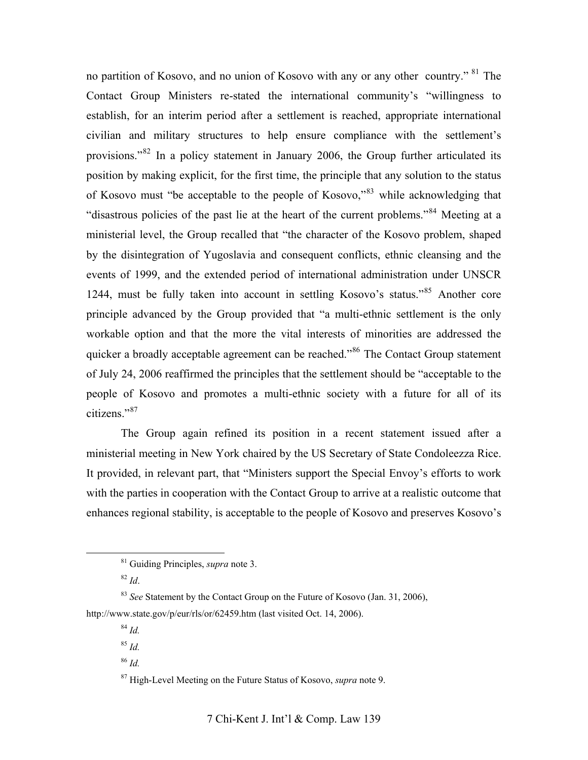no partition of Kosovo, and no union of Kosovo with any or any other country." [81](#page-22-0) The Contact Group Ministers re-stated the international community's "willingness to establish, for an interim period after a settlement is reached, appropriate international civilian and military structures to help ensure compliance with the settlement's provisions."[82](#page-22-1) In a policy statement in January 2006, the Group further articulated its position by making explicit, for the first time, the principle that any solution to the status of Kosovo must "be acceptable to the people of Kosovo,"[83](#page-22-2) while acknowledging that "disastrous policies of the past lie at the heart of the current problems."[84](#page-22-3) Meeting at a ministerial level, the Group recalled that "the character of the Kosovo problem, shaped by the disintegration of Yugoslavia and consequent conflicts, ethnic cleansing and the events of 1999, and the extended period of international administration under UNSCR 1244, must be fully taken into account in settling Kosovo's status."[85](#page-22-4) Another core principle advanced by the Group provided that "a multi-ethnic settlement is the only workable option and that the more the vital interests of minorities are addressed the quicker a broadly acceptable agreement can be reached."<sup>[86](#page-22-5)</sup> The Contact Group statement of July 24, 2006 reaffirmed the principles that the settlement should be "acceptable to the people of Kosovo and promotes a multi-ethnic society with a future for all of its citizens<sup>"[87](#page-22-6)</sup>

The Group again refined its position in a recent statement issued after a ministerial meeting in New York chaired by the US Secretary of State Condoleezza Rice. It provided, in relevant part, that "Ministers support the Special Envoy's efforts to work with the parties in cooperation with the Contact Group to arrive at a realistic outcome that enhances regional stability, is acceptable to the people of Kosovo and preserves Kosovo's

<sup>84</sup> *Id.*

<sup>86</sup> *Id.*

 <sup>81</sup> Guiding Principles, *supra* note 3.

 $82$  *Id.* 

<span id="page-22-5"></span><span id="page-22-4"></span><span id="page-22-3"></span><span id="page-22-2"></span><span id="page-22-1"></span><span id="page-22-0"></span><sup>&</sup>lt;sup>83</sup> *See* Statement by the Contact Group on the Future of Kosovo (Jan. 31, 2006), <http://www.state.gov/p/eur/rls/or/62459.htm>(last visited Oct. 14, 2006).

<sup>85</sup> *Id.*

<span id="page-22-6"></span><sup>87</sup> High-Level Meeting on the Future Status of Kosovo, *supra* note 9.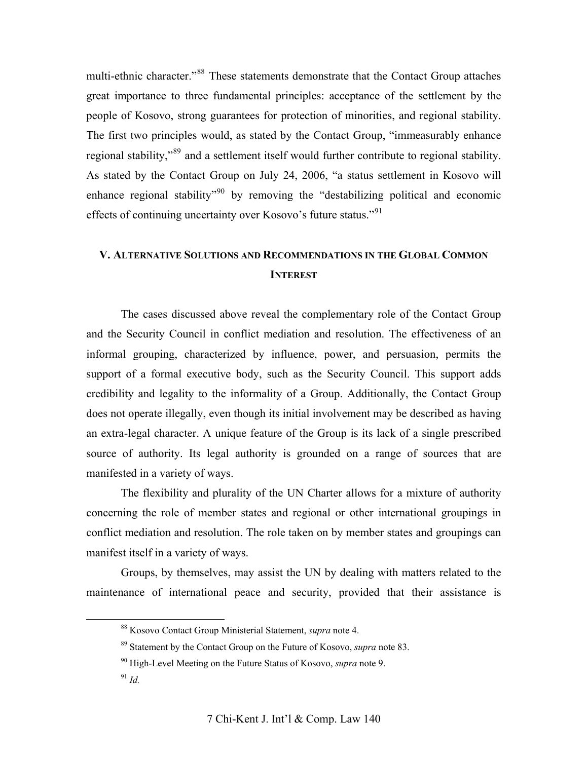multi-ethnic character."<sup>[88](#page-23-0)</sup> These statements demonstrate that the Contact Group attaches great importance to three fundamental principles: acceptance of the settlement by the people of Kosovo, strong guarantees for protection of minorities, and regional stability. The first two principles would, as stated by the Contact Group, "immeasurably enhance regional stability,"<sup>[89](#page-23-1)</sup> and a settlement itself would further contribute to regional stability. As stated by the Contact Group on July 24, 2006, "a status settlement in Kosovo will enhance regional stability<sup> $290$  $290$ </sup> by removing the "destabilizing political and economic effects of continuing uncertainty over Kosovo's future status."[91](#page-23-3)

# **V. ALTERNATIVE SOLUTIONS AND RECOMMENDATIONS IN THE GLOBAL COMMON INTEREST**

The cases discussed above reveal the complementary role of the Contact Group and the Security Council in conflict mediation and resolution. The effectiveness of an informal grouping, characterized by influence, power, and persuasion, permits the support of a formal executive body, such as the Security Council. This support adds credibility and legality to the informality of a Group. Additionally, the Contact Group does not operate illegally, even though its initial involvement may be described as having an extra-legal character. A unique feature of the Group is its lack of a single prescribed source of authority. Its legal authority is grounded on a range of sources that are manifested in a variety of ways.

The flexibility and plurality of the UN Charter allows for a mixture of authority concerning the role of member states and regional or other international groupings in conflict mediation and resolution. The role taken on by member states and groupings can manifest itself in a variety of ways.

<span id="page-23-1"></span><span id="page-23-0"></span>Groups, by themselves, may assist the UN by dealing with matters related to the maintenance of international peace and security, provided that their assistance is

 <sup>88</sup> Kosovo Contact Group Ministerial Statement, *supra* note 4.

<sup>89</sup> Statement by the Contact Group on the Future of Kosovo, *supra* note 83.

<span id="page-23-2"></span><sup>90</sup> High-Level Meeting on the Future Status of Kosovo, *supra* note 9.

<span id="page-23-3"></span><sup>91</sup> *Id.*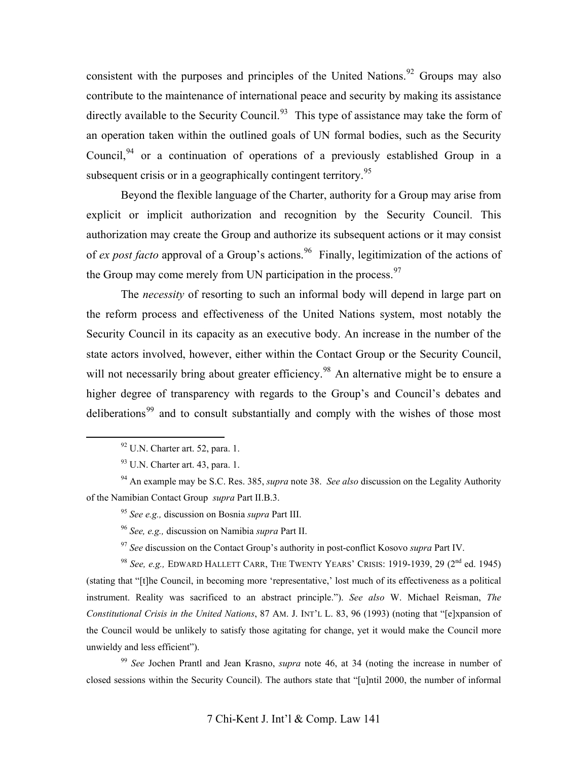consistent with the purposes and principles of the United Nations.<sup>[92](#page-24-0)</sup> Groups may also contribute to the maintenance of international peace and security by making its assistance directly available to the Security Council.<sup>[93](#page-24-1)</sup> This type of assistance may take the form of an operation taken within the outlined goals of UN formal bodies, such as the Security Council,  $94$  or a continuation of operations of a previously established Group in a subsequent crisis or in a geographically contingent territory.<sup>[95](#page-24-3)</sup>

Beyond the flexible language of the Charter, authority for a Group may arise from explicit or implicit authorization and recognition by the Security Council. This authorization may create the Group and authorize its subsequent actions or it may consist of *ex post facto* approval of a Group's actions.<sup>[96](#page-24-4)</sup> Finally, legitimization of the actions of the Group may come merely from UN participation in the process.<sup>[97](#page-24-5)</sup>

The *necessity* of resorting to such an informal body will depend in large part on the reform process and effectiveness of the United Nations system, most notably the Security Council in its capacity as an executive body. An increase in the number of the state actors involved, however, either within the Contact Group or the Security Council, will not necessarily bring about greater efficiency.<sup>[98](#page-24-6)</sup> An alternative might be to ensure a higher degree of transparency with regards to the Group's and Council's debates and deliberations<sup>[99](#page-24-7)</sup> and to consult substantially and comply with the wishes of those most

<sup>95</sup> *See e.g.,* discussion on Bosnia *supra* Part III.

<sup>96</sup> *See, e.g.,* discussion on Namibia *supra* Part II.

<sup>97</sup> *See* discussion on the Contact Group's authority in post-conflict Kosovo *supra* Part IV.

<span id="page-24-6"></span><span id="page-24-5"></span><span id="page-24-4"></span><sup>98</sup> *See, e.g.,* EDWARD HALLETT CARR, THE TWENTY YEARS' CRISIS: 1919-1939, 29 (2nd ed. 1945) (stating that "[t]he Council, in becoming more 'representative,' lost much of its effectiveness as a political instrument. Reality was sacrificed to an abstract principle."). *See also* W. Michael Reisman, *The Constitutional Crisis in the United Nations*, 87 AM. J. INT'L L. 83, 96 (1993) (noting that "[e]xpansion of the Council would be unlikely to satisfy those agitating for change, yet it would make the Council more unwieldy and less efficient").

<span id="page-24-7"></span><sup>99</sup> *See* Jochen Prantl and Jean Krasno, *supra* note 46, at 34 (noting the increase in number of closed sessions within the Security Council). The authors state that "[u]ntil 2000, the number of informal

 $92$  U.N. Charter art. 52, para. 1.

 $93$  U.N. Charter art. 43, para. 1.

<span id="page-24-3"></span><span id="page-24-2"></span><span id="page-24-1"></span><span id="page-24-0"></span><sup>94</sup> An example may be S.C. Res. 385, *supra* note 38. *See also* discussion on the Legality Authority of the Namibian Contact Group *supra* Part II.B.3.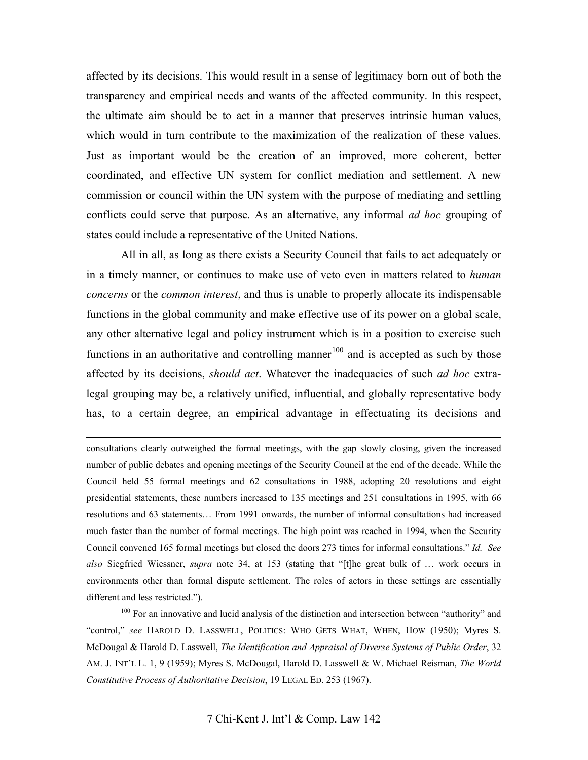affected by its decisions. This would result in a sense of legitimacy born out of both the transparency and empirical needs and wants of the affected community. In this respect, the ultimate aim should be to act in a manner that preserves intrinsic human values, which would in turn contribute to the maximization of the realization of these values. Just as important would be the creation of an improved, more coherent, better coordinated, and effective UN system for conflict mediation and settlement. A new commission or council within the UN system with the purpose of mediating and settling conflicts could serve that purpose. As an alternative, any informal *ad hoc* grouping of states could include a representative of the United Nations.

All in all, as long as there exists a Security Council that fails to act adequately or in a timely manner, or continues to make use of veto even in matters related to *human concerns* or the *common interest*, and thus is unable to properly allocate its indispensable functions in the global community and make effective use of its power on a global scale, any other alternative legal and policy instrument which is in a position to exercise such functions in an authoritative and controlling manner<sup>[100](#page-25-0)</sup> and is accepted as such by those affected by its decisions, *should act*. Whatever the inadequacies of such *ad hoc* extralegal grouping may be, a relatively unified, influential, and globally representative body has, to a certain degree, an empirical advantage in effectuating its decisions and

 consultations clearly outweighed the formal meetings, with the gap slowly closing, given the increased number of public debates and opening meetings of the Security Council at the end of the decade. While the Council held 55 formal meetings and 62 consultations in 1988, adopting 20 resolutions and eight presidential statements, these numbers increased to 135 meetings and 251 consultations in 1995, with 66 resolutions and 63 statements… From 1991 onwards, the number of informal consultations had increased much faster than the number of formal meetings. The high point was reached in 1994, when the Security Council convened 165 formal meetings but closed the doors 273 times for informal consultations." *Id. See also* Siegfried Wiessner, *supra* note 34, at 153 (stating that "[t]he great bulk of … work occurs in environments other than formal dispute settlement. The roles of actors in these settings are essentially different and less restricted.").

<span id="page-25-0"></span><sup>100</sup> For an innovative and lucid analysis of the distinction and intersection between "authority" and "control," *see* HAROLD D. LASSWELL, POLITICS: WHO GETS WHAT, WHEN, HOW (1950); Myres S. McDougal & Harold D. Lasswell, *The Identification and Appraisal of Diverse Systems of Public Order*, 32 AM. J. INT'L L. 1, 9 (1959); Myres S. McDougal, Harold D. Lasswell & W. Michael Reisman, *The World Constitutive Process of Authoritative Decision*, 19 LEGAL ED. 253 (1967).